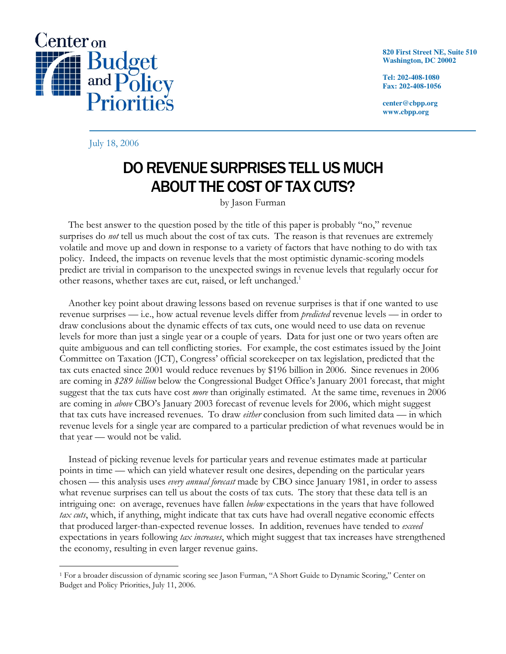

**820 First Street NE, Suite 510 Washington, DC 20002** 

**Tel: 202-408-1080 Fax: 202-408-1056** 

**center@cbpp.org www.cbpp.org** 

July 18, 2006

 $\overline{a}$ 

## DO REVENUE SURPRISES TELL US MUCH ABOUT THE COST OF TAX CUTS?

by Jason Furman

The best answer to the question posed by the title of this paper is probably "no," revenue surprises do *not* tell us much about the cost of tax cuts. The reason is that revenues are extremely volatile and move up and down in response to a variety of factors that have nothing to do with tax policy. Indeed, the impacts on revenue levels that the most optimistic dynamic-scoring models predict are trivial in comparison to the unexpected swings in revenue levels that regularly occur for other reasons, whether taxes are cut, raised, or left unchanged.<sup>1</sup>

 Another key point about drawing lessons based on revenue surprises is that if one wanted to use revenue surprises — i.e., how actual revenue levels differ from *predicted* revenue levels — in order to draw conclusions about the dynamic effects of tax cuts, one would need to use data on revenue levels for more than just a single year or a couple of years. Data for just one or two years often are quite ambiguous and can tell conflicting stories. For example, the cost estimates issued by the Joint Committee on Taxation (JCT), Congress' official scorekeeper on tax legislation, predicted that the tax cuts enacted since 2001 would reduce revenues by \$196 billion in 2006. Since revenues in 2006 are coming in \$289 billion below the Congressional Budget Office's January 2001 forecast, that might suggest that the tax cuts have cost *more* than originally estimated. At the same time, revenues in 2006 are coming in *above* CBO's January 2003 forecast of revenue levels for 2006, which might suggest that tax cuts have increased revenues. To draw either conclusion from such limited data — in which revenue levels for a single year are compared to a particular prediction of what revenues would be in that year — would not be valid.

Instead of picking revenue levels for particular years and revenue estimates made at particular points in time — which can yield whatever result one desires, depending on the particular years chosen — this analysis uses *every annual forecast* made by CBO since January 1981, in order to assess what revenue surprises can tell us about the costs of tax cuts. The story that these data tell is an intriguing one: on average, revenues have fallen below expectations in the years that have followed tax cuts, which, if anything, might indicate that tax cuts have had overall negative economic effects that produced larger-than-expected revenue losses. In addition, revenues have tended to exceed expectations in years following tax increases, which might suggest that tax increases have strengthened the economy, resulting in even larger revenue gains.

<sup>1</sup> For a broader discussion of dynamic scoring see Jason Furman, "A Short Guide to Dynamic Scoring," Center on Budget and Policy Priorities, July 11, 2006.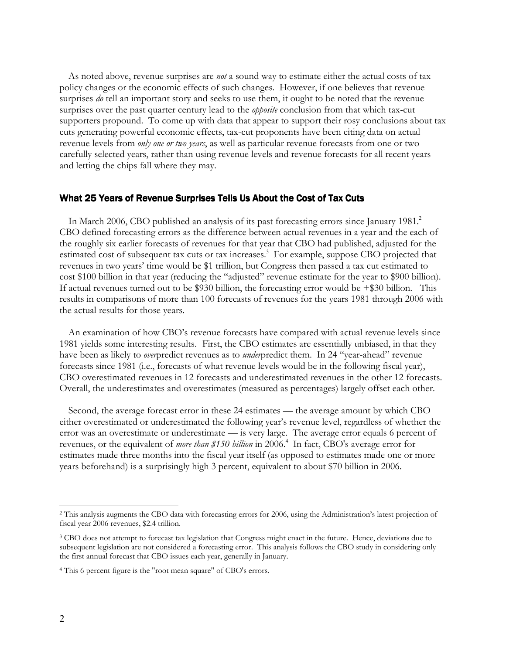As noted above, revenue surprises are *not* a sound way to estimate either the actual costs of tax policy changes or the economic effects of such changes. However, if one believes that revenue surprises *do* tell an important story and seeks to use them, it ought to be noted that the revenue surprises over the past quarter century lead to the *opposite* conclusion from that which tax-cut supporters propound. To come up with data that appear to support their rosy conclusions about tax cuts generating powerful economic effects, tax-cut proponents have been citing data on actual revenue levels from *only one or two years*, as well as particular revenue forecasts from one or two carefully selected years, rather than using revenue levels and revenue forecasts for all recent years and letting the chips fall where they may.

## What 25 Years of Revenue Surprises Tells Us About the Cost of Tax Cuts

In March 2006, CBO published an analysis of its past forecasting errors since January 1981.<sup>2</sup> CBO defined forecasting errors as the difference between actual revenues in a year and the each of the roughly six earlier forecasts of revenues for that year that CBO had published, adjusted for the estimated cost of subsequent tax cuts or tax increases.<sup>3</sup> For example, suppose CBO projected that revenues in two years' time would be \$1 trillion, but Congress then passed a tax cut estimated to cost \$100 billion in that year (reducing the "adjusted" revenue estimate for the year to \$900 billion). If actual revenues turned out to be \$930 billion, the forecasting error would be +\$30 billion. This results in comparisons of more than 100 forecasts of revenues for the years 1981 through 2006 with the actual results for those years.

 An examination of how CBO's revenue forecasts have compared with actual revenue levels since 1981 yields some interesting results. First, the CBO estimates are essentially unbiased, in that they have been as likely to overpredict revenues as to underpredict them. In 24 "year-ahead" revenue forecasts since 1981 (i.e., forecasts of what revenue levels would be in the following fiscal year), CBO overestimated revenues in 12 forecasts and underestimated revenues in the other 12 forecasts. Overall, the underestimates and overestimates (measured as percentages) largely offset each other.

 Second, the average forecast error in these 24 estimates — the average amount by which CBO either overestimated or underestimated the following year's revenue level, regardless of whether the error was an overestimate or underestimate — is very large. The average error equals 6 percent of revenues, or the equivalent of *more than* \$150 billion in 2006.<sup>4</sup> In fact, CBO's average error for estimates made three months into the fiscal year itself (as opposed to estimates made one or more years beforehand) is a surprisingly high 3 percent, equivalent to about \$70 billion in 2006.

 $\overline{a}$ 

<sup>2</sup> This analysis augments the CBO data with forecasting errors for 2006, using the Administration's latest projection of fiscal year 2006 revenues, \$2.4 trillion.

<sup>&</sup>lt;sup>3</sup> CBO does not attempt to forecast tax legislation that Congress might enact in the future. Hence, deviations due to subsequent legislation are not considered a forecasting error. This analysis follows the CBO study in considering only the first annual forecast that CBO issues each year, generally in January.

<sup>4</sup> This 6 percent figure is the "root mean square" of CBO's errors.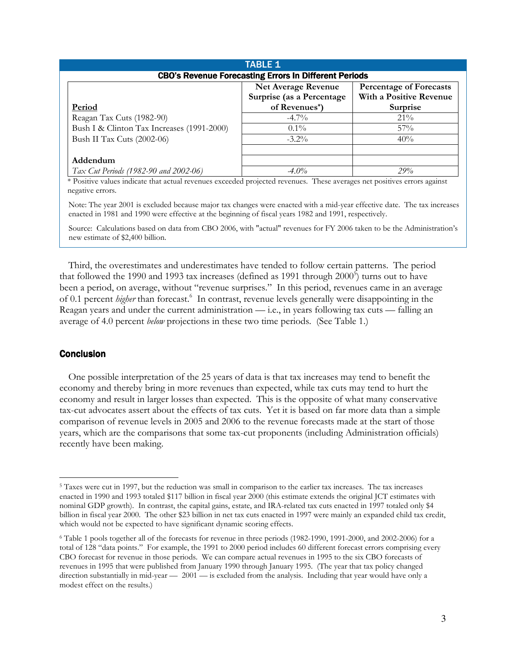| <b>TABLE 1</b>                                               |                            |                                |
|--------------------------------------------------------------|----------------------------|--------------------------------|
| <b>CBO's Revenue Forecasting Errors In Different Periods</b> |                            |                                |
|                                                              | <b>Net Average Revenue</b> | <b>Percentage of Forecasts</b> |
|                                                              | Surprise (as a Percentage  | With a Positive Revenue        |
| Period                                                       | of Revenues*)              | Surprise                       |
| Reagan Tax Cuts (1982-90)                                    | $-4.7\%$                   | $21\%$                         |
| Bush I & Clinton Tax Increases (1991-2000)                   | $0.1\%$                    | $57\%$                         |
| Bush II Tax Cuts (2002-06)                                   | $-3.2\%$                   | 40%                            |
| Addendum                                                     |                            |                                |
| Tax Cut Periods (1982-90 and 2002-06)                        | $-4.0\%$                   | 29%                            |

\* Positive values indicate that actual revenues exceeded projected revenues. These averages net positives errors against negative errors.

Note: The year 2001 is excluded because major tax changes were enacted with a mid-year effective date. The tax increases enacted in 1981 and 1990 were effective at the beginning of fiscal years 1982 and 1991, respectively.

Source: Calculations based on data from CBO 2006, with "actual" revenues for FY 2006 taken to be the Administration's new estimate of \$2,400 billion.

 Third, the overestimates and underestimates have tended to follow certain patterns. The period that followed the 1990 and 1993 tax increases (defined as 1991 through  $2000^5$ ) turns out to have been a period, on average, without "revenue surprises." In this period, revenues came in an average of 0.1 percent *higher* than forecast.<sup>6</sup> In contrast, revenue levels generally were disappointing in the Reagan years and under the current administration — i.e., in years following tax cuts — falling an average of 4.0 percent below projections in these two time periods. (See Table 1.)

## Conclusion

 $\overline{a}$ 

 One possible interpretation of the 25 years of data is that tax increases may tend to benefit the economy and thereby bring in more revenues than expected, while tax cuts may tend to hurt the economy and result in larger losses than expected. This is the opposite of what many conservative tax-cut advocates assert about the effects of tax cuts. Yet it is based on far more data than a simple comparison of revenue levels in 2005 and 2006 to the revenue forecasts made at the start of those years, which are the comparisons that some tax-cut proponents (including Administration officials) recently have been making.

<sup>&</sup>lt;sup>5</sup> Taxes were cut in 1997, but the reduction was small in comparison to the earlier tax increases. The tax increases enacted in 1990 and 1993 totaled \$117 billion in fiscal year 2000 (this estimate extends the original JCT estimates with nominal GDP growth). In contrast, the capital gains, estate, and IRA-related tax cuts enacted in 1997 totaled only \$4 billion in fiscal year 2000. The other \$23 billion in net tax cuts enacted in 1997 were mainly an expanded child tax credit, which would not be expected to have significant dynamic scoring effects.

<sup>6</sup> Table 1 pools together all of the forecasts for revenue in three periods (1982-1990, 1991-2000, and 2002-2006) for a total of 128 "data points." For example, the 1991 to 2000 period includes 60 different forecast errors comprising every CBO forecast for revenue in those periods. We can compare actual revenues in 1995 to the six CBO forecasts of revenues in 1995 that were published from January 1990 through January 1995. (The year that tax policy changed direction substantially in mid-year  $-2001$  — is excluded from the analysis. Including that year would have only a modest effect on the results.)